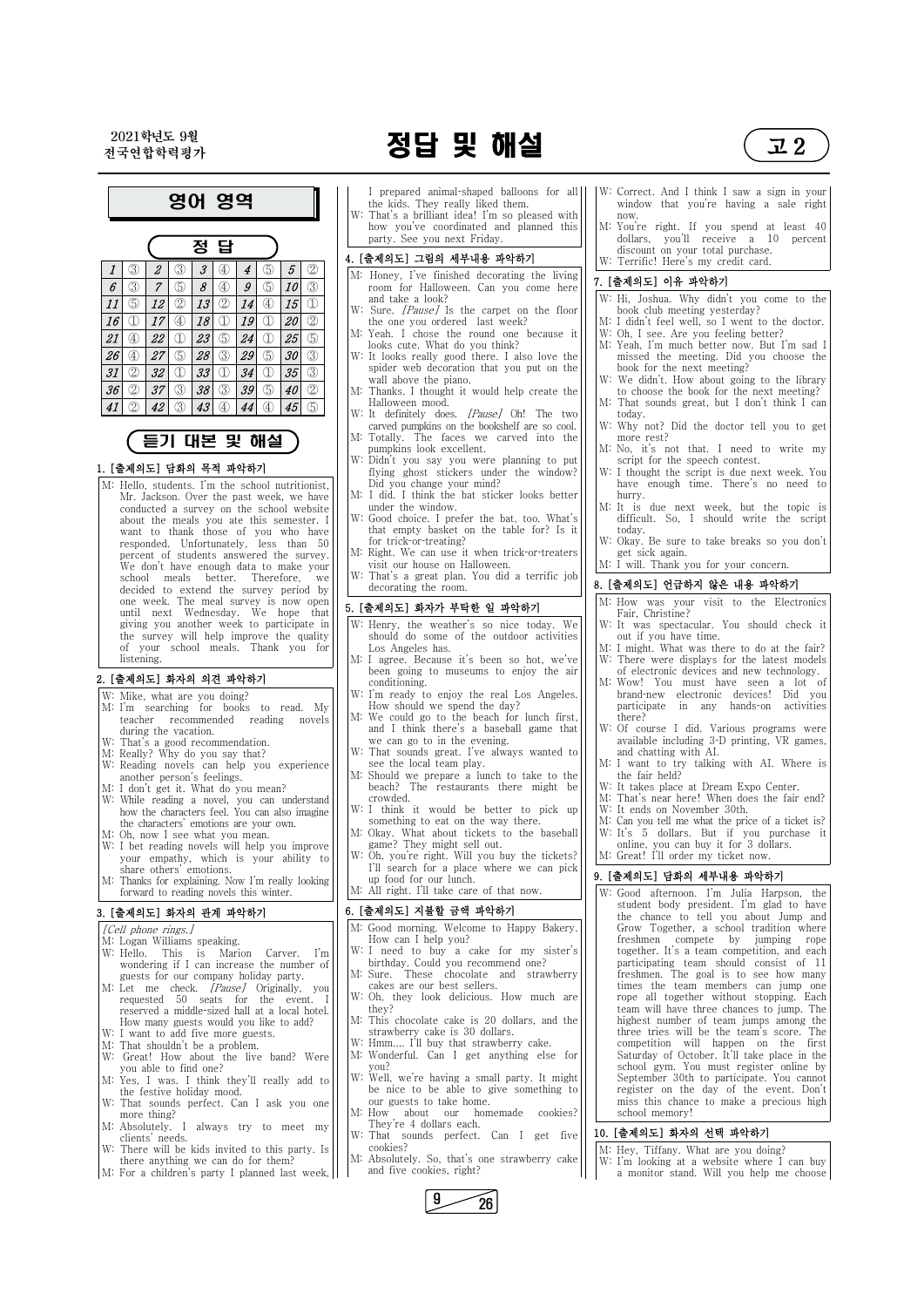2021학년도 9월

# $\frac{2021$ 학연도 9월 2009년 1월 2009년 2월 2009년 2월 2012년 2월 2012년 2월 2012년 2월 2012년 2월 2012년 2월 2012년 2월 2012년 2월 2012년 2월 2012년 2월 2012년 2월 2012년 2월 2012년 2월 2012년 2월 2012년 2월 2012년 2월 2012년 2월 2012년 2월 2012년 2월 2012년 2월 2012년



영어 영역 정 답 1 ③ 2 ③ 3 ④ 4 ⑤ 5 ② M: Honey, I've finished decorating the living 11 ⑤ 12 ② 13 ② 14 ④ 15 ① 2126 ④ 27 ⑤ 28 ③ 29 ⑤ 30 ③ W: It looks really good there. I also love the 31 ② 32 ① 33 ① 34 ① 35 ③ 41

### 듣기 대본 및 해설

### 1. [출제의도] 담화의 목적 파악하기

M: Hello, students. I'm the school nutritionist, Mr. Jackson. Over the past week, we have conducted a survey on the school website about the meals you ate this semester. I want to thank those of you who have responded. Unfortunately, less than 50 percent of students answered the survey. We don't have enough data to make your school meals better. Therefore, we decided to extend the survey period by one week. The meal survey is now open until next Wednesday. We hope that giving you another week to participate in the survey will help improve the quality of your school meals. Thank you for listening.

- [Cell phone rings.]
- M: Logan Williams speaking.
- W: Hello. This is Marion Carver. I'm wondering if I can increase the number of guests for our company holiday party.

# 2. [출제의도] 화자의 의견 파악하기 W: Mike, what are you doing?

- 
- M: I'm searching for books to read. My teacher recommended reading novels during the vacation.
- W: That's a good recommendation.
- M: Really? Why do you say that?
- W: Reading novels can help you experience another person's feelings.
- M: I don't get it. What do you mean?
- W: While reading a novel, you can understand how the characters feel. You can also imagine the characters' emotions are your own.
- M: Oh, now I see what you mean.
- W: I bet reading novels will help you improve your empathy, which is your ability to share others' emotions.
- M: Thanks for explaining. Now I'm really looking forward to reading novels this winter.
- I prepared animal-shaped balloons for all the kids. They really liked them.
- W: That's a brilliant idea! I'm so pleased with how you've coordinated and planned this party. See you next Friday.

### 3. [출제의도] 화자의 관계 파악하기

- $6 \mid \textcircled{3} \mid 7 \mid \textcircled{5} \mid 8 \mid \textcircled{4} \mid 9 \mid \textcircled{3} \mid 1$  room for Halloween. Can you come here  $\mid \textcircled{1}$ and take a look?
- 16 1 |  $17 \oplus 18$  |  $18 \oplus 19$  |  $20 \oplus 1$  | the one you ordered last week? W: Sure. [Pause] Is the carpet on the floor
	- ④ 22 ① 23 ⑤ 24 ① 25 ⑤ M: Yeah. I chose the round one because it looks cute. What do you think?
		- spider web decoration that you put on the wall above the piano.
- $36$   $\circled{2}$   $37$   $\circled{3}$   $38$   $\circled{3}$   $39$   $\circled{5}$   $40$   $\circled{2}$  | |M: Thanks. I thought it would help create the || | Halloween mood.
	- ② 42 ③ 43 ④ 44 ④ 45 ⑤ W: It definitely does. [Pause] Oh! The two carved pumpkins on the bookshelf are so cool.
		- M: Totally. The faces we carved into the pumpkins look excellent.
		- W: Didn't you say you were planning to put flying ghost stickers under the window? Did you change your mind?
		- M: I did. I think the bat sticker looks better under the window.
		- W: Good choice. I prefer the bat, too. What's that empty basket on the table for? Is it for trick-or-treating?
		- M: Right. We can use it when trick-or-treaters visit our house on Halloween.
		- W: That's a great plan. You did a terrific job decorating the room.

### 4. [출제의도] 그림의 세부내용 파악하기

| M: Let me check. <i>[Pause]</i> Originally, you | cakes are our best sellers.                   |     |
|-------------------------------------------------|-----------------------------------------------|-----|
| requested 50 seats for the event. I             | W: Oh, they look delicious. How much are      |     |
| reserved a middle-sized hall at a local hotel.  | they?                                         |     |
| How many guests would you like to add?          | M: This chocolate cake is 20 dollars, and the |     |
| W: I want to add five more guests.              | strawberry cake is 30 dollars.                |     |
| M: That shouldn't be a problem.                 | W: Hmm I'll buy that strawberry cake.         |     |
| W: Great! How about the live band? Were         | M: Wonderful. Can I get anything else for     |     |
| you able to find one?                           | vou?                                          |     |
| M: Yes, I was. I think they'll really add to    | W: Well, we're having a small party. It might |     |
| the festive holiday mood.                       | be nice to be able to give something to       |     |
| W: That sounds perfect. Can I ask you one       | our guests to take home.                      |     |
| more thing?                                     | M: How about our homemade cookies?            |     |
| M: Absolutely. I always try to meet my          | They're 4 dollars each.                       |     |
| clients' needs.                                 | W: That sounds perfect. Can I<br>get five     | 10. |
| W: There will be kids invited to this party. Is | cookies?                                      | M   |
| there anything we can do for them?              | M: Absolutely. So, that's one strawberry cake | W   |
| M: For a children's party I planned last week,  | and five cookies, right?                      |     |
|                                                 |                                               |     |

- 7. [출제의도] 이유 파악하기<br>|W: Hi, Joshua. Why didn't you come to the book club meeting yesterday?
- M: I didn't feel well, so I went to the doctor. W: Oh, I see. Are you feeling better?
- M: Yeah, I'm much better now. But I'm sad I missed the meeting. Did you choose the book for the next meeting?
- W: We didn't. How about going to the library to choose the book for the next meeting?
- M: That sounds great, but I don't think I can today.
- W: Why not? Did the doctor tell you to get more rest?
- M: No, it's not that. I need to write my script for the speech contest.
- W: I thought the script is due next week. You have enough time. There's no need to hurry.
- M: It is due next week, but the topic is difficult. So, I should write the script today.
- W: Okay. Be sure to take breaks so you don't get sick again.
- M: I will. Thank you for your concern.

### 5. [출제의도] 화자가 부탁한 일 파악하기

- W: Henry, the weather's so nice today. We should do some of the outdoor activities Los Angeles has.
- M: I agree. Because it's been so hot, we've been going to museums to enjoy the air conditioning.
- W: I'm ready to enjoy the real Los Angeles. How should we spend the day?
- M: We could go to the beach for lunch first, and I think there's a baseball game that we can go to in the evening.
- W: That sounds great. I've always wanted to see the local team play.
- M: Should we prepare a lunch to take to the beach? The restaurants there might be crowded.
- W: I think it would be better to pick up something to eat on the way there.
- M: Okay. What about tickets to the baseball game? They might sell out.
- W: Oh, you're right. Will you buy the tickets? I'll search for a place where we can pick up food for our lunch.
- M: All right. I'll take care of that now.

### 6. [출제의도] 지불할 금액 파악하기

- M: Good morning. Welcome to Happy Bakery. How can I help you?
- W: I need to buy a cake for my sister's birthday. Could you recommend one?
- M: Sure. These chocolate and strawberry cakes are our best sellers.
- W: Correct. And I think I saw a sign in your window that you're having a sale right now.
- M: You're right. If you spend at least 40 dollars, you'll receive a 10 percent discount on your total purchase. W: Terrific! Here's my credit card.

### 8. [출제의도] 언급하지 않은 내용 파악하기

- M: How was your visit to the Electronics Fair, Christine?
- W: It was spectacular. You should check it out if you have time.
- M: I might. What was there to do at the fair? W: There were displays for the latest models of electronic devices and new technology.
- M: Wow! You must have seen a lot of brand-new electronic devices! Did you participate in any hands-on activities there?
- W: Of course I did. Various programs were available including 3-D printing, VR games, and chatting with AI.
- M: I want to try talking with AI. Where is the fair held?
- W: It takes place at Dream Expo Center.
- M: That's near here! When does the fair end?
- W: It ends on November 30th.
- M: Can you tell me what the price of a ticket is? W: It's 5 dollars. But if you purchase it
- online, you can buy it for 3 dollars.
- M: Great! I'll order my ticket now.

### 9. [출제의도] 담화의 세부내용 파악하기

W: Good afternoon. I'm Julia Harpson, the student body president. I'm glad to have the chance to tell you about Jump and Grow Together, a school tradition where freshmen compete by jumping rope together. It's a team competition, and each participating team should consist of 11 freshmen. The goal is to see how many times the team members can jump one

rope all together without stopping. Each team will have three chances to jump. The highest number of team jumps among the three tries will be the team's score. The competition will happen on the first Saturday of October. It'll take place in the school gym. You must register online by September 30th to participate. You cannot register on the day of the event. Don't miss this chance to make a precious high school memory!

### 10. [출제의도] 화자의 선택 파악하기

M: Hey, Tiffany. What are you doing? W: I'm looking at a website where I can buy a monitor stand. Will you help me choose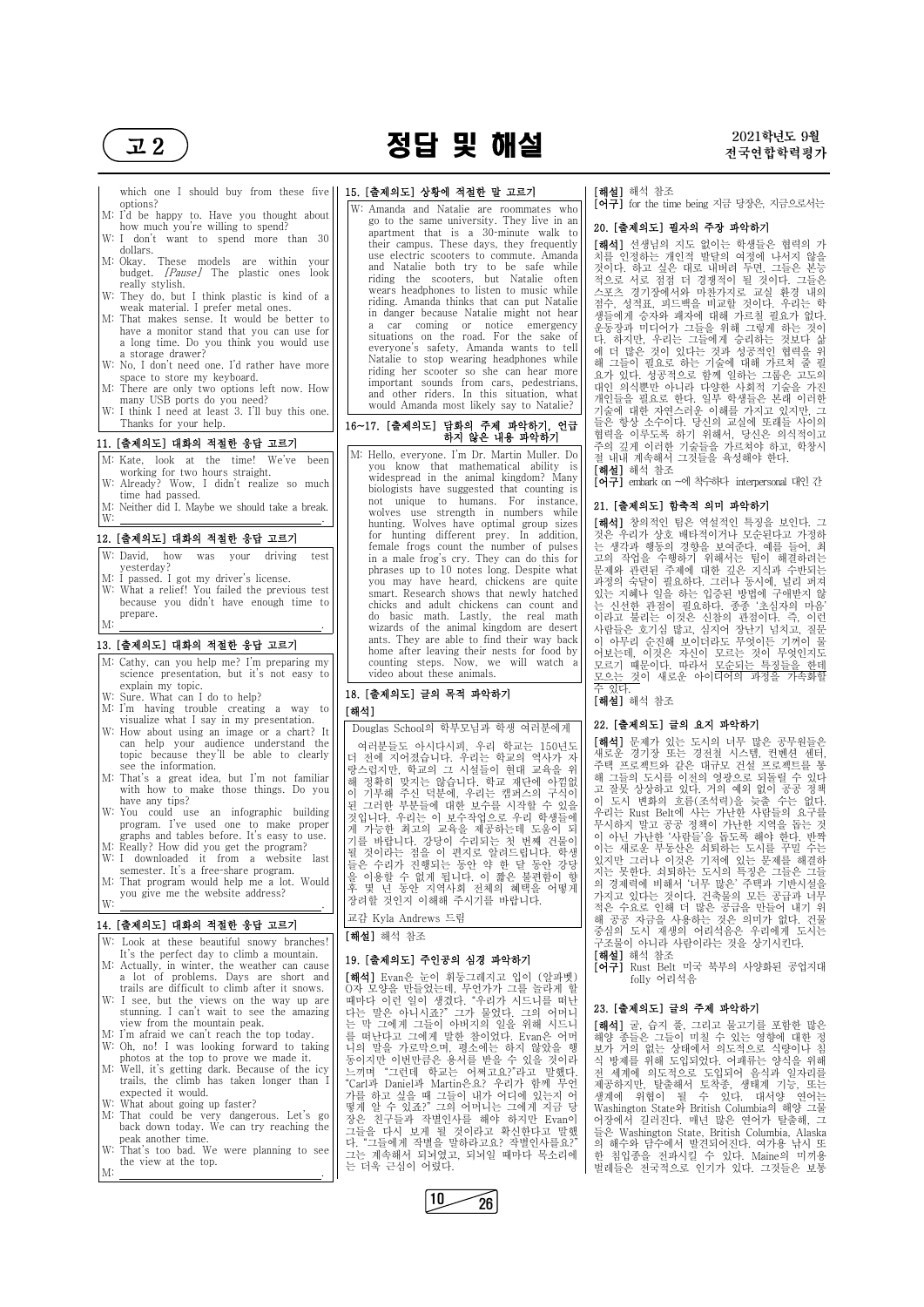# $\overline{u}$ 2 ) 2021학년도 9월<br> $\overline{u}$ 정답 및 해설 2021학년도 9월



which one I should buy from these five options?

- M: I'd be happy to. Have you thought about how much you're willing to spend?
- W: I don't want to spend more than 30 dollars.
- M: Okay. These models are within your budget. [Pause] The plastic ones look really stylish.
- W: They do, but I think plastic is kind of a weak material. I prefer metal ones.
- M: That makes sense. It would be better to have a monitor stand that you can use for a long time. Do you think you would use a storage drawer?
- W: No, I don't need one. I'd rather have more space to store my keyboard.
- M: There are only two options left now. How many USB ports do you need?
- W: I think I need at least 3. I'll buy this one. Thanks for your help.

- W: David, how was your driving test yesterday?
- M: I passed. I got my driver's license.
- W: What a relief! You failed the previous test because you didn't have enough time to prepare.  $M:$   $\qquad \qquad \qquad$

### 11. [출제의도] 대화의 적절한 응답 고르기

- M: Kate, look at the time! We've been working for two hours straight.
- W: Already? Wow, I didn't realize so much time had passed.
- M: Neither did I. Maybe we should take a break. W: .

### 12. [출제의도] 대화의 적절한 응답 고르기

### 13. [출제의도] 대화의 적절한 응답 고르기

- M: Cathy, can you help me? I'm preparing my science presentation, but it's not easy to explain my topic.
- W: Sure. What can I do to help?
- M: I'm having trouble creating a way to
- visualize what I say in my presentation. W: How about using an image or a chart? It can help your audience understand the topic because they'll be able to clearly see the information.
- M: That's a great idea, but I'm not familiar  $\|\cdot\|$ with how to make those things. Do you  $\begin{bmatrix} 1 & 0 \\ 0 & 0 \end{bmatrix}$ have any tips?
- W: You could use an infographic building program. I've used one to make proper graphs and tables before. It's easy to use.
- M: Really? How did you get the program? W: I downloaded it from a website last
- semester. It's a free-share program. M: That program would help me a lot. Would
- you give me the website address? W: .
- 

### 14. [출제의도] 대화의 적절한 응답 고르기

W: Look at these beautiful snowy branches! It's the perfect day to climb a mountain. M: Actually, in winter, the weather can cause a lot of problems. Days are short and

### 15. [출제의도] 상황에 적절한 말 고르기

in danger because Natalie might not hear|| 생들에게 승자와 패자에 대해 가르칠 필요가 없다. [해석] 선생님의 지도 없이는 학생들은 협력의 가 치를 인정하는 개인적 발달의 여정에 나서지 않을 것이다. 하고 싶은 대로 내버려 두면, 그들은 본능 적으로 서로 점점 더 경쟁적이 될 것이다. 그들은 스포츠 경기장에서와 마찬가지로 교실 환경 내의 점수, 성적표, 피드백을 비교할 것이다. 우리는 학 운동장과 미디어가 그들을 위해 그렇게 하는 것이 다. 하지만, 우리는 그들에게 승리하는 것보다 삶 에 더 많은 것이 있다는 것과 성공적인 협력을 위 해 그들이 필요로 하는 기술에 대해 가르쳐 줄 필 요가 있다. 성공적으로 함께 일하는 그룹은 고도의 대인 의식뿐만 아니라 다양한 사회적 기술을 가진 개인들을 필요로 한다. 일부 학생들은 본래 이러한 기술에 대한 자연스러운 이해를 가지고 있지만, 그 들은 항상 소수이다. 당신의 교실에 또래들 사이의 협력을 이루도록 하기 위해서, 당신은 의식적이고 주의 깊게 이러한 기술들을 가르쳐야 하고, 학창시 절 내내 계속해서 그것들을 육성해야 한다. [해설] 해석 참조

W: Amanda and Natalie are roommates who go to the same university. They live in an apartment that is a 30-minute walk to their campus. These days, they frequently use electric scooters to commute. Amanda and Natalie both try to be safe while riding the scooters, but Natalie often wears headphones to listen to music while riding. Amanda thinks that can put Natalie a car coming or notice emergency situations on the road. For the sake of everyone's safety, Amanda wants to tell Natalie to stop wearing headphones while  $\begin{bmatrix} 1 & 1 \\ 0 & \frac{1}{2} \end{bmatrix}$ riding her scooter so she can hear more important sounds from cars, pedestrians, and other riders. In this situation, what would Amanda most likely say to Natalie?

여러분들도 아시다시피, 우리 학교는 150년도||【**해석】**문제가 있는 노시의 너무 많은 공무원들은<br>| 전에 지어져수니다. 우리는 한교의 여사가 자|| 새로운 경기장 또는 경전철 시스템, 컨벤션 센터, 기부해 주신 덕분에, 우리는 캠퍼스의 구식이|| <sup>고 잘못</sup> 상상하고 있다. 거의 예외 없이 공공 경책<br>그러한 부부들에 대한 보수를 시작한 수 있으|| 이 도시 변화의 흐름(조석력)을 늦출 수는 없다. [해석] 문제가 있는 도시의 너무 많은 공무원들은 주택 프로젝트와 같은 대규모 건설 프로젝트를 통 해 그들의 도시를 이전의 영광으로 되돌릴 수 있다 고 잘못 상상하고 있다. 거의 예외 없이 공공 정책 우리는 Rust Belt에 사는 가난한 사람들의 요구를 무시하지 말고 공공 정책이 가난한 지역을 돕는 것 이 아닌 가난한 '사람들'을 돕도록 해야 한다. 반짝 이는 새로운 부동산은 쇠퇴하는 도시를 꾸밀 수는 있지만 그러나 이것은 기저에 있는 문제를 해결하 지는 못한다. 쇠퇴하는 도시의 특징은 그들은 그들 의 경제력에 비해서 '너무 많은' 주택과 기반시설을 가지고 있다는 것이다. 건축물의 모든 공급과 너무 적은 수요로 인해 더 많은 공급을 만들어 내기 위 해 공공 자금을 사용하는 것은 의미가 없다. 건물 중심의 도시 재생의 어리석음은 우리에게 도시는 구조물이 아니라 사람이라는 것을 상기시킨다. [해설] 해석 참조

### 16~17. [출제의도] 담화의 주제 파악하기, 언급 하지 않은 내용 파악하기

M: Hello, everyone. I'm Dr. Martin Muller. Do you know that mathematical ability is widespread in the animal kingdom? Many biologists have suggested that counting is not unique to humans. For instance, wolves use strength in numbers while hunting. Wolves have optimal group sizes for hunting different prey. In addition, female frogs count the number of pulses in a male frog's cry. They can do this for phrases up to 10 notes long. Despite what you may have heard, chickens are quite smart. Research shows that newly hatched chicks and adult chickens can count and do basic math. Lastly, the real math wizards of the animal kingdom are desert ants. They are able to find their way back home after leaving their nests for food by counting steps. Now, we will watch a video about these animals.

### 18. [출제의도] 글의 목적 파악하기

### [해석]

Douglas School의 학부모님과 학생 여러분에게 더 전에 지어졌습니다. 우리는 학교의 역사가 자|| 앷놀고 경기생 랑스럽지만, 학교의 그 시설들이 현대 교육을 위|| 뜻의 프녹엑드 해 정확히 맞지는 않습니다. 학교 재단에 아낌없 된 그러한 부분들에 대한 보수를 시작할 수 있을 것입니다. 우리는 이 보수작업으로 우리 학생들에|| ㅜ더ㄷ KUSU I 게 가능한 최고의 교육을 제공하는데 도움이 되|| 듯^!아^! 글프 기를 바랍니다. 강당이 수리되는 첫 번째 건물이 될 것이라는 점을 이 편지로 알려드립니다. 학생 들은 수리가 진행되는 동안 약 한 달 동안 강당 을 이용할 수 없게 됩니다. 이 짧은 불편함이 향 후 몇 년 동안 지역사회 전체의 혜택을 어떻게|| m 장려할 것인지 이해해 주시기를 바랍니다.

| trails are difficult to climb after it snows.  | 0자 모양을 만들었는데, 무언가가 그를 놀라게 할        |                                               |
|------------------------------------------------|------------------------------------|-----------------------------------------------|
| W: I see, but the views on the way up are      | 때마다 이런 일이 생겼다. "우리가 시드니를 떠난        |                                               |
| stunning. I can't wait to see the amazing      | 다는 말은 아니시죠?" 그가 물었다. 그의 어머니        | 23. [출제의도] 글의 주제 파악하기                         |
| view from the mountain peak.                   | 는 막 그에게 그들이 아버지의 일을 위해 시드니         | [해석] 굴, 습지 풀, 그리고 물고기를 포함한 많은                 |
| M: I'm afraid we can't reach the top today.    | 를 떠난다고 그에게 말한 참이었다. Evan은 어머       | 해양 종들은 그들이 미칠 수 있는 영향에 대한 정                   |
| W: Oh, no! I was looking forward to taking     | 니의 말을 가로막으며, 평소에는 하지 않았을 행         | 보가 거의 없는 상태에서 의도적으로 식량이나 침                    |
| photos at the top to prove we made it.         | 동이지만 이번만큼은 용서를 받을 수 있을 것이라         | 식 방제를 위해 도입되었다. 어패류는 양식을 위해                   |
| M: Well, it's getting dark. Because of the icy | 느끼며 "그런데 학교는 어쩌고요?"라고 말했다.         | 전 세계에 의도적으로 도입되어 음식과 일자리를                     |
| trails, the climb has taken longer than        | "Carl과 Daniel과 Martin은요? 우리가 함께 무언 | 제공하지만, 탈출해서 토착종, 생태계 기능, 또는                   |
| expected it would.                             | 가를 하고 싶을 때 그들이 내가 어디에 있는지 어        | 생계에 위협이 될 수 있다. 대서양 연어는                       |
| W: What about going up faster?                 | 떻게 알 수 있죠?" 그의 어머니는 그에게 지금 당       | Washington State와 British Columbia의 해양 그물     |
| M: That could be very dangerous. Let's go      | 장은 친구들과 작별인사를 해야 하지만 Evan이         | 어장에서 길러진다. 매년 많은 연어가 탈출해, 그                   |
| back down today. We can try reaching the       | 그들을 다시 보게 될 것이라고 확신한다고 말했          | 들은 Washington State, British Columbia, Alaska |
| peak another time.                             | 다. "그들에게 작별을 말하라고요? 작별인사를요?"       | 의 해수와 담수에서 발견되어진다. 여가용 낚시 또                   |
| W: That's too bad. We were planning to see     | 그는 계속해서 되뇌였고, 되뇌일 때마다 목소리에         | 한 침입종을 전파시킬 수 있다. Maine의 미끼용                  |
| the view at the top.                           | 는 더욱 근심이 어렸다.                      | 벌레들은 전국적으로 인기가 있다. 그것들은 보통                    |
| М:                                             |                                    |                                               |

### [해설] 해석 참조

### 19. [출제의도] 주인공의 심경 파악하기

[해석] Evan은 눈이 휘둥그레지고 입이 (알파벳)

[해설] 해석 참조

[어구] for the time being 지금 당장은, 지금으로서는

### 20. [출제의도] 필자의 주장 파악하기

- [어구] Rust Belt 미국 북부의 사양화된 공업지대 folly 어리석음
- 교감 Kyla Andrews 드림

[어구] embark on ~에 착수하다 interpersonal 대인 간

### 21. [출제의도] 함축적 의미 파악하기

[해석] 창의적인 팀은 역설적인 특징을 보인다. 그 것은 우리가 상호 배타적이거나 모순된다고 가정하 는 생각과 행동의 경향을 보여준다. 예를 들어, 최 고의 작업을 수행하기 위해서는 팀이 해결하려는 문제와 관련된 주제에 대한 깊은 지식과 수반되는 과정의 숙달이 필요하다. 그러나 동시에, 널리 퍼져 있는 지혜나 일을 하는 입증된 방법에 구애받지 않 는 신선한 관점이 필요하다. 종종 '초심자의 마음' 이라고 불리는 이것은 신참의 관점이다. 즉, 이런 사람들은 호기심 많고, 심지어 장난기 넘치고, 질문 이 아무리 순진해 보이더라도 무엇이든 기꺼이 물 어보는데, 이것은 자신이 모르는 것이 무엇인지도 모르기 때문이다. 따라서 모순되는 특징들을 한데 모으는 것이 새로운 아이디어의 과정을 가속화할 수 있다.

### [해설] 해석 참조

### 22. [출제의도] 글의 요지 파악하기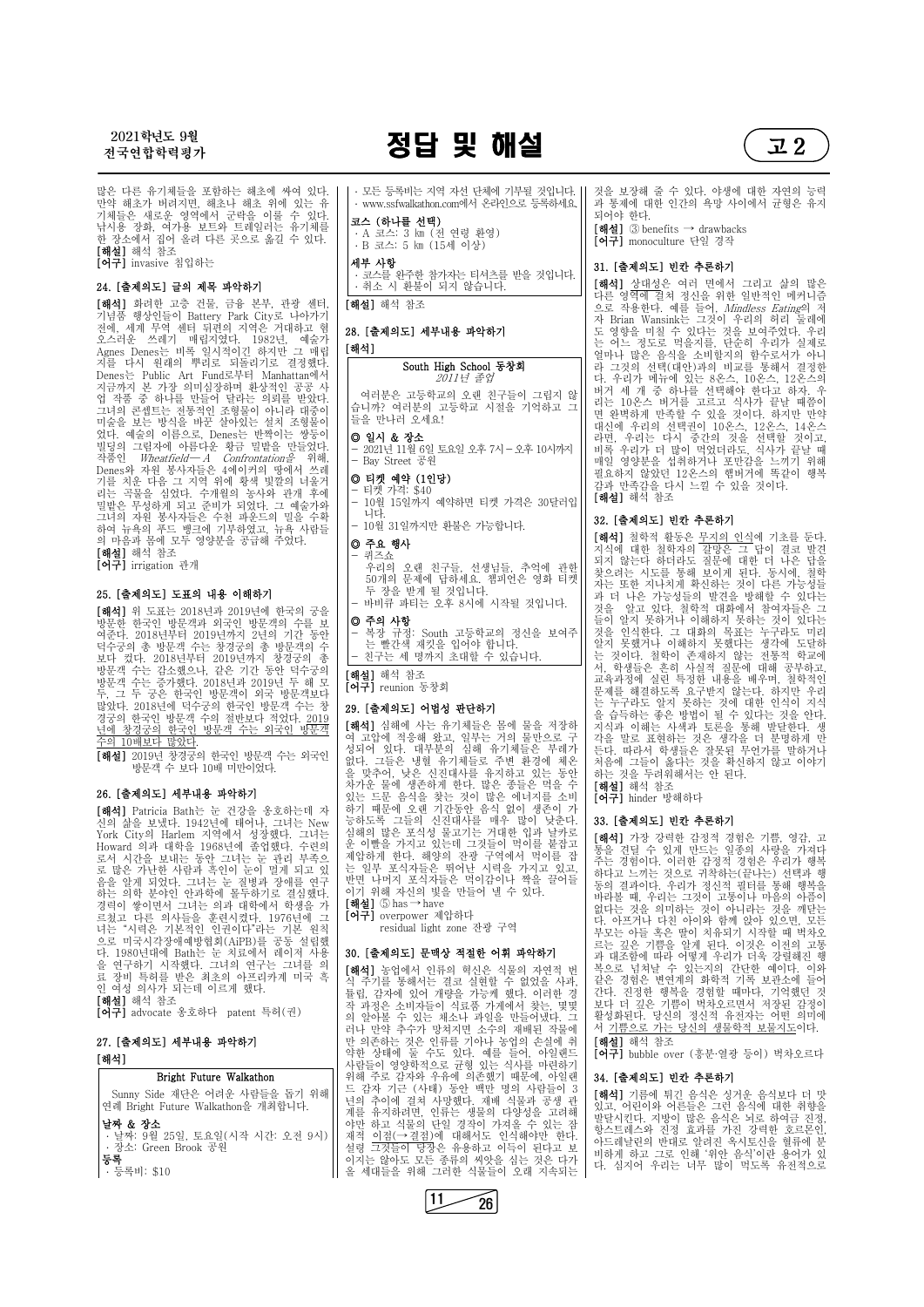

많은 다른 유기체들을 포함하는 해초에 싸여 있다.<br>만약 해초가 버려지면, 해초나 해초 위에 있는 유 기체들은 새로운 영역에서 군락을 이룰 수 있다.<br>낚시용 장화, 여가용 보트와 트레일러는 유기체를 한 장소에서 집어 올려 다른 곳으로 옮길 수 있다.<br>**[해설]** 해석 참조 [어구] invasive 침입하는

### 24. [출제의도] 글의 제목 파악하기

[해석] 화려한 고층 건물, 금융 본부, 관광 센터, 기념품 행상인들이 Battery Park City로 나아가기 전에, 세계 무역 센터 뒤편의 지역은 거대하고 혐 오스러운 쓰레기 매립지였다. 1982년, 예술가 Agnes Denes는 비록 일시적이긴 하지만 그 매립<br>지를 다시 원래의 뿌리로 되돌리기로 결정했다. Denes는 Public Art Fund로부터 Manhattan에서 지금까지 본 가장 의미심장하며 환상적인 공공 사<br>업 작품 중 하나를 만들어 달라는 의뢰를 받았다. 그녀의 콘셉트는 전통적인 조형물이 아니라 대중이 미술을 보는 방식을 바꾼 살아있는 설치 조형물이 었다. 예술의 이름으로, Denes는 반짝이는 쌍둥이 | |@ 빌딩의 그림자에 아름다운 황금 밀밭을 만들었다. | <u>| 2021년114</u><br>작품인 *Wheatfield— A Confrontation을* 위해, | | Bay Street<br>Denes와 자원 봉사자들은 4에이커의 땅에서 쓰레 | | | 기기 11 기를 치운 다음 그 지역 위에 황색 빛깔의 너울거 리는 곡물을 심었다. 수개월의 농사와 관개 후에 | | ̄ 밀밭은 무성하게 되고 준비가 되었다. 그 예술가와 | | ̄ 그녀의 자원 봉사자들은 수천 파운드의 밀을 수확 하여 뉴욕의 푸드 뱅크에 기부하였고, 뉴욕 사람들 의 마음과 몸에 모두 영양분을 공급해 주었다. [해설] 해석 참조

[어구] irrigation 관개

### 25. [출제의도] 도표의 내용 이해하기

[해석] 위 도표는 2018년과 2019년에 한국의 궁을 방문한 한국인 방문객과 외국인 방문객의 수를 보 여준다. 2018년부터 2019년까지 2년의 기간 동안 덕수궁의 총 방문객 수는 창경궁의 총 방문객의 수 | | \_ 는 빨간색 보다 컸다. 2018년부터 2019년까지 창경궁의 총 방문객 수는 감소했으나, 같은 기간 동안 덕수궁의 | <sub>[쳬</sub> 방문객 수는 증가했다. 2018년과 2019년 두 해 모 두, 그 두 궁은 한국인 방문객이 외국 방문객보다 많았다. 2018년에 덕수궁의 한국인 방문객 수는 창 | 29 **[출제의도** 경궁의 한국인 방문객 수의 절반보다 적었다. 2019 년에 창경궁의 한국인 방문객 수는 외국인 방문객 | L에 수의 10배보다 많았다.

- 퀴즈쇼 우리의 오랜 친구들, 선생님들, 추억에 관한 50개의 문제에 답하세요. 챔피언은 영화 티켓 바비큐 파티는 오후 8시에 시작될 것입니다.
- 

[해설] 2019년 창경궁의 한국인 방문객 수는 외국인 방문객 수 보다 10배 미만이었다.

### 26. [출제의도] 세부내용 파악하기

[해석] Patricia Bath는 눈 건강을 옹호하는데 자 | 하기 때문에 오랜 기간동안 음식 없이 생존이 가<br>신의 삶을 보냈다. 1942년에 태어나. 그녀는 New | 능하도록 그들의 신진대사를 매우 많이 낮춘다. 신의 삶을 보냈다. 1942년에 태어나, 그녀는 New York City의 Harlem 지역에서 성장했다. 그녀는 Howard 의과 대학을 1968년에 졸업했다. 수련의 로서 시간을 보내는 동안 그녀는 눈 관리 부족으 로 많은 가난한 사람과 흑인이 눈이 멀게 되고 있 음을 알게 되었다. 그녀는 눈 질병과 장애를 연구<br>하는 의학 분야인 안과학에 몰두하기로 결심했다. 경력이 쌓이면서 그녀는 의과 대학에서 학생을 가 | [해설] 5 has → have 르쳤고 다른 의사들을 훈련시켰다. 1976년에 그 녀는 "시력은 기본적인 인권이다"라는 기본 원칙 으로 미국시각장애예방협회(AiPB)를 공동 설립했 다. 1980년대에 Bath는 눈 치료에서 레이저 사용 | **30. [출제의도** 을 연구하기 시작했다. 그녀의 연구는 그녀를 의 | <sub>【체서】 노어</sub><sub>시</sub>

# $\frac{2021$ 학년도 9월 2009년 - 2009년 2월 20일 1월 20일 1월 20일 21일 1월 21일 1월 21일 1월 21일 1월 21일 1월 21일 1월 21일 1월 21일 1월 21일 1월 21일 1월 21일 1월 21일 1월 21일 1월 21일 1월 21일 1월 21일 1월 21일 1월 21일 1월 21일 1월 21일 1월 21일 1월 21일 1월 21일 1월 21일 1월 2

| 인 여성 의사가 되는데 이르게 했다.            |  |
|---------------------------------|--|
| <b>[해설]</b> 해석 참조               |  |
| [어구] advocate 옹호하다 patent 특허(권) |  |

### 27. [출제의도] 세부내용 파악하기 [해석]

### Bright Future Walkathon

| Sunny Side 재단은 어려운 사람들을 돕기 위해<br>연례 Bright Future Walkathon을 개최합니다.                                                                 | चंड |
|-------------------------------------------------------------------------------------------------------------------------------------|-----|
| 연례 Bright Future Walkathon을 개죄압니다.<br><b>날짜 &amp; 장소</b><br>· 날짜: 9월 25일, 토요일(시작 시간: 오전 9시)   재?<br>· 장소: Green Brook 공원<br>날짜 & 장소 |     |
|                                                                                                                                     |     |

### 등록

․ 등록비: \$10

․ 모든 등록비는 지역 자선 단체에 기부될 것입니다. ㆍ www.ssfwalkathon.com에서 온라인으로 등록하세요 || 과 통제에 대<br>- ㆍ <u>´ - · · =</u> · · · · · 코스 (하나를 선택) ․ A 코스: 3 ㎞ (전 연령 환영) ․ B 코스: 5 ㎞ (15세 이상) 세부 사항 ․ 코스를 완주한 참가자는 티셔츠를 받을 것입니다. ․ 취소 시 환불이 되지 않습니다.

[해설] 해석 참조

### 28. [출제의도] 세부내용 파악하기

### [해석]

#### South High School 동창회 2011년 졸업

 여러분은 고등학교의 오랜 친구들이 그립지 않 습니까? 여러분의 고등학교 시절을 기억하고 그 들을 만나러 오세요!

### ◎ 일시 & 장소

- 2021년 11월 6일 토요일 오후 7시-오후 10시까지 - Bay Street 공원

### ◎ 티켓 예약 (1인당)

- 티켓 가격: \$40
- 10월 15일까지 예약하면 티켓 가격은 30달러입 니다.
- 10월 31일까지만 환불은 가능합니다.

### ◎ 주요 행사

[<mark>해석</mark>] 철학적 활동은 <u>무지의 인식</u>에 기초를 둔다.<br>지식에 대한 철학자의 갈망은 그 답이 결코 발견 되지 않는다 하더라도 질문에 대한 더 나은 답을 찾으려는 시도를 통해 보이게 된다. 동시에, 철학 자는 또한 지나치게 확신하는 것이 다른 가능성들 과 더 나은 가능성들의 발견을 방해할 수 있다는 것을 알고 있다. 철학적 대화에서 참여자들은 그 들이 알지 못하거나 이해하지 못하는 것이 있다는 것을 인식한다. 그 대화의 목표는 누구라도 미리 알지 못했거나 이해하지 못했다는 생각에 도달하 는 것이다. 철학이 존재하지 않는 전통적 학교에 서, 학생들은 흔히 사실적 질문에 대해 공부하고,<br>교육과정에 실린 특정한 내용을 배우며, 철학적인 문제를 해결하도록 요구받지 않는다. 하지만 우리 는 누구라도 알지 못하는 것에 대한 인식이 지식 을 습득하는 좋은 방법이 될 수 있다는 것을 안다. 지식과 이해는 사색과 토론을 통해 발달한다. 생 각을 말로 표현하는 것은 생각을 더 분명하게 만 든다. 따라서 학생들은 잘못된 무언가를 말하거나 처음에 그들이 옳다는 것을 확신하지 않고 이야기 하는 것을 두려워해서는 안 된다.

[해석] 가장 강력한 감정적 경험은 기쁨, 영감, 고 통을 견딜 수 있게 만드는 일종의 사랑을 가져다 주는 경험이다. 이러한 감정적 경험은 우리가 행복 하다고 느끼는 것으로 귀착하는(끝나는) 선택과 행 동의 결과이다. 우리가 정신적 필터를 통해 행복을 바라볼 때, 우리는 그것이 고통이나 마음의 아픔이 없다는 것을 의미하는 것이 아니라는 것을 깨닫는 다. 아프거나 다친 아이와 함께 앉아 있으면, 모든 부모는 아들 혹은 딸이 치유되기 시작할 때 벅차오 르는 깊은 기쁨을 알게 된다. 이것은 이전의 고통 과 대조함에 따라 어떻게 우리가 더욱 강렬해진 행 복으로 넘쳐날 수 있는지의 간단한 예이다. 이와 같은 경험은 변연계의 화학적 기록 보관소에 들어 간다. 진정한 행복을 경험할 때마다, 기억했던

### ◎ 주의 사항

- 복장 규정: South 고등학교의 정신을 보여주 는 빨간색 재킷을 입어야 합니다. - 친구는 세 명까지 초대할 수 있습니다.

[해설] 해석 참조

[어구] reunion 동창회

### 29. [출제의도] 어법성 판단하기

[해석] 심해에 사는 유기체들은 몸에 물을 저장하 | 지식과 이해는 사색과 토론을 통해 발달한다. 생 여 고압에 적응해 왔고, 일부는 거의 물만으로 구 | 각을 말로 표 성되어 있다. 대부분의 심해 유기체들은 부레가 | 든r 없다. 그들은 냉혈 유기체들로 주변 환경에 체온 을 맞추어, 낮은 신진대사를 유지하고 있는 동안 차가운 물에 생존하게 한다. 많은 종들은 먹을 수 있는 드문 음식을 찾는 것이 많은 에너지를 소비 | **[어구]** hinder 하기 때문에 오랜 기간동안 음식 없이 생존이 가 심해의 많은 포식성 물고기는 거대한 입과 날카로 운 이빨을 가지고 있는데 그것들이 먹이를 붙잡고 제압하게 한다. 해양의 잔광 구역에서 먹이를 잡 반면 나머지 포식자들은 먹이감이나 짝을 끌어들 이기 위해 자신의 빛을 만들어 낼 수 있다.

> [해석] 기름에 튀긴 음식은 싱거운 음식보다 더 맛 있고, 어린이와 어른들은 그런 음식에 대한 취향을<br>발달시킨다. 지방이 많은 음식은 뇌로 하여금 진정,

- 료 장비 특허를 받은 최초의 아프리카계 미국 후 | L해식] 농업에서 인류의 혁신은 식물의 사연적 변<br>이 여성 인사가 되는데 이르게 해다 [해석] 농업에서 인류의 혁신은 식물의 자연적 번 튤립, 감자에 있어 개량을 가능케 했다. 이러한 경 작 과정은 소비자들이 식료품 가게에서 찾는, 몇몇 의 알아볼 수 있는 채소나 과일을 만들어냈다. 그 러나 만약 추수가 망쳐지면 소수의 재배된 작물에 만 의존하는 것은 인류를 기아나 농업의 손실에 취 | **[해설]** 해석 ? 약한 상태에 둘 수도 있다. 예를 들어, 아일랜드 | **[어** 사람들이 영양학적으로 균형 있는 식사를 마련하기 위해 주로 감자와 우유에 의존했기 때문에, 아일랜 드 감자 기근 (사태) 동안 백만 명의 사람들이 3 년의 추이에 걸쳐 사망했다. 재배 식물과 공생 관 | 'TH 기능'" 계를 유지하려면, 인류는 생물의 다양성을 고려해 | 쓰는, 그물기 야만 하고 식물의 단일 경작이 가져올 수 있는 잠 | 륿르~~~~~~~~ 아만 아고 식물의 단일 경식이 가서를 ㅜ 있는 섬 │ 항스트레스와 진정 효과를 가진 강력한 호르몬인,<br>재적 <u>이점(→결점</u>)에 대해서도 인식해야만 한다. │ 아드레날린의 반대로 알려진 옥시토신을 혈류에 분<br>설령 그것들이 당장은 유용하고 이득이 된다고 보 │ 비치겠 친구 그리 이利 '인아 오신'이라 용신간 인 이지는 않아도 모든 종류의 씨앗을 심는 것은 다가 올 세대들을 위해 그러한 식물들이 오래 지속되는 보다 더 깊은 기쁨이 벅차오르면서 저장된 감정이 34. [출제의도] 빈칸 추론하기 아드레날린의 반대로 알려진 옥시토신을 혈류에 분 비하게 하고 그로 인해 '위안 음식'이란 용어가 있 다. 심지어 우리는 너무 많이 먹도록 유전적으로



[어구] overpower 제압하다

residual light zone 잔광 구역

### 30. [출제의도] 문맥상 적절한 어휘 파악하기

것을 보장해 줄 수 있다. 야생에 대한 자연의 능력 과 통제에 대한 인간의 욕망 사이에서 균형은 유지

 $[\vec{a}]$  3 benefits  $\rightarrow$  drawbacks

[어구] monoculture 단일 경작

### 31. [출제의도] 빈칸 추론하기

[해석] 상대성은 여러 면에서 그리고 삶의 많은 다른 영역에 걸쳐 정신을 위한 일반적인 메커니즘 으로 작용한다. 예를 들어, Mindless Eating의 저 자 Brian Wansink는 그것이 우리의 허리 둘레에 도 영향을 미칠 수 있다는 것을 보여주었다. 우리 는 어느 정도로 먹을지를, 단순히 우리가 실제로 얼마나 많은 음식을 소비할지의 함수로서가 아니 라 그것의 선택(대안)과의 비교를 통해서 결정한 다. 우리가 메뉴에 있는 8온스, 10온스, 12온스의 버거 세 개 중 하나를 선택해야 한다고 하자. 우 리는 10온스 버거를 고르고 식사가 끝날 때쯤이 면 완벽하게 만족할 수 있을 것이다. 하지만 만약 군군 구가에 신택권이 10온스, 12온스, 14온스<br>대신에 우리의 선택권이 10온스, 12온스, 14온스<br>라면, 우리는 다시 중간의 것을 선택할 것이고, 비록 우리가 더 많이 먹었더라도, 식사가 끝날 때 매일 영양분을 섭취하거나 포만감을 느끼기 위해 필요하지 않았던 12온스의 햄버거에 똑같이 행복 감과 만족감을 다시 느낄 수 있을 것이다. [해설] 해석 참조

### 32. [출제의도] 빈칸 추론하기

[해설] 해석 참조

[어구] hinder 방해하다

### 33. [출제의도] 빈칸 추론하기

활성화된다. 당신의 정신적 유전자는 어떤 의미에

서 기쁨으로 가는 당신의 생물학적 보물지도이다.

[해설] 해석 참조

[어구] bubble over (흥분·열광 등이) 벅차오르다